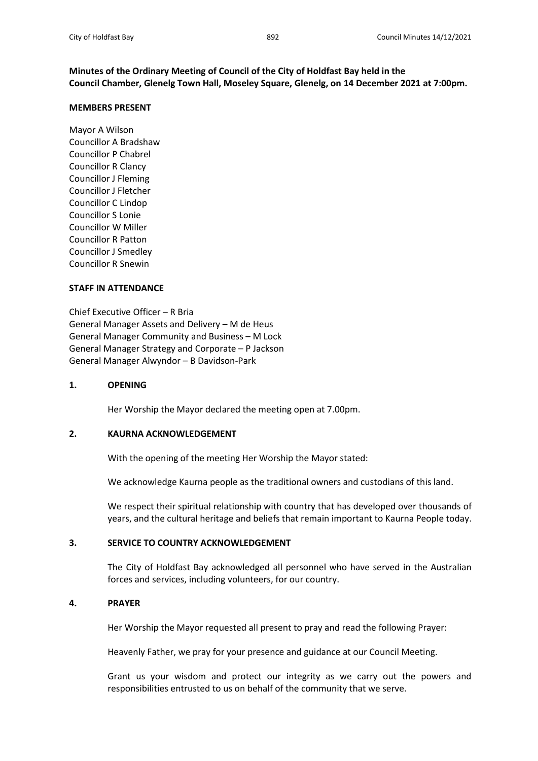# **Minutes of the Ordinary Meeting of Council of the City of Holdfast Bay held in the Council Chamber, Glenelg Town Hall, Moseley Square, Glenelg, on 14 December 2021 at 7:00pm.**

#### **MEMBERS PRESENT**

Mayor A Wilson Councillor A Bradshaw Councillor P Chabrel Councillor R Clancy Councillor J Fleming Councillor J Fletcher Councillor C Lindop Councillor S Lonie Councillor W Miller Councillor R Patton Councillor J Smedley Councillor R Snewin

#### **STAFF IN ATTENDANCE**

Chief Executive Officer – R Bria General Manager Assets and Delivery – M de Heus General Manager Community and Business – M Lock General Manager Strategy and Corporate – P Jackson General Manager Alwyndor – B Davidson-Park

### **1. OPENING**

Her Worship the Mayor declared the meeting open at 7.00pm.

### **2. KAURNA ACKNOWLEDGEMENT**

With the opening of the meeting Her Worship the Mayor stated:

We acknowledge Kaurna people as the traditional owners and custodians of this land.

We respect their spiritual relationship with country that has developed over thousands of years, and the cultural heritage and beliefs that remain important to Kaurna People today.

### **3. SERVICE TO COUNTRY ACKNOWLEDGEMENT**

The City of Holdfast Bay acknowledged all personnel who have served in the Australian forces and services, including volunteers, for our country.

### **4. PRAYER**

Her Worship the Mayor requested all present to pray and read the following Prayer:

Heavenly Father, we pray for your presence and guidance at our Council Meeting.

Grant us your wisdom and protect our integrity as we carry out the powers and responsibilities entrusted to us on behalf of the community that we serve.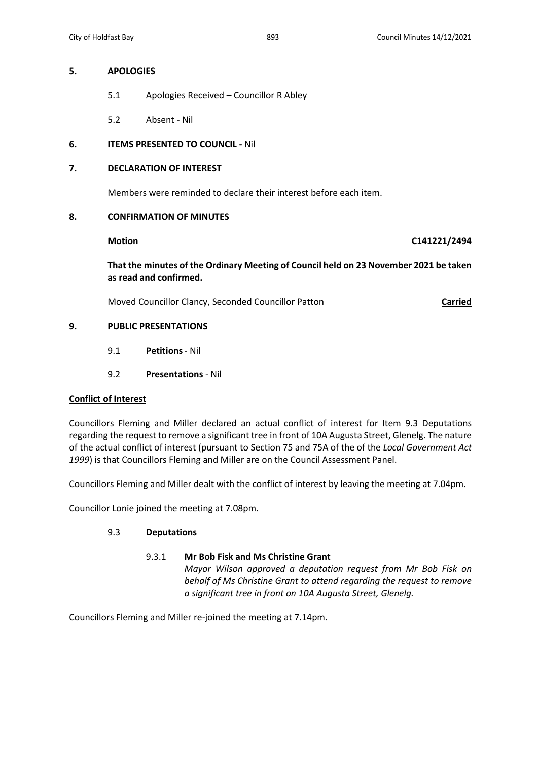### **5. APOLOGIES**

- 5.1 Apologies Received Councillor R Abley
- 5.2 Absent Nil

# **6. ITEMS PRESENTED TO COUNCIL -** Nil

# **7. DECLARATION OF INTEREST**

Members were reminded to declare their interest before each item.

## **8. CONFIRMATION OF MINUTES**

**Motion C141221/2494**

**That the minutes of the Ordinary Meeting of Council held on 23 November 2021 be taken as read and confirmed.**

Moved Councillor Clancy, Seconded Councillor Patton **Carried**

# **9. PUBLIC PRESENTATIONS**

- 9.1 **Petitions** Nil
- 9.2 **Presentations** Nil

# **Conflict of Interest**

Councillors Fleming and Miller declared an actual conflict of interest for Item 9.3 Deputations regarding the request to remove a significant tree in front of 10A Augusta Street, Glenelg. The nature of the actual conflict of interest (pursuant to Section 75 and 75A of the of the *Local Government Act 1999*) is that Councillors Fleming and Miller are on the Council Assessment Panel.

Councillors Fleming and Miller dealt with the conflict of interest by leaving the meeting at 7.04pm.

Councillor Lonie joined the meeting at 7.08pm.

# 9.3 **Deputations**

### 9.3.1 **Mr Bob Fisk and Ms Christine Grant**

*Mayor Wilson approved a deputation request from Mr Bob Fisk on behalf of Ms Christine Grant to attend regarding the request to remove a significant tree in front on 10A Augusta Street, Glenelg.*

Councillors Fleming and Miller re-joined the meeting at 7.14pm.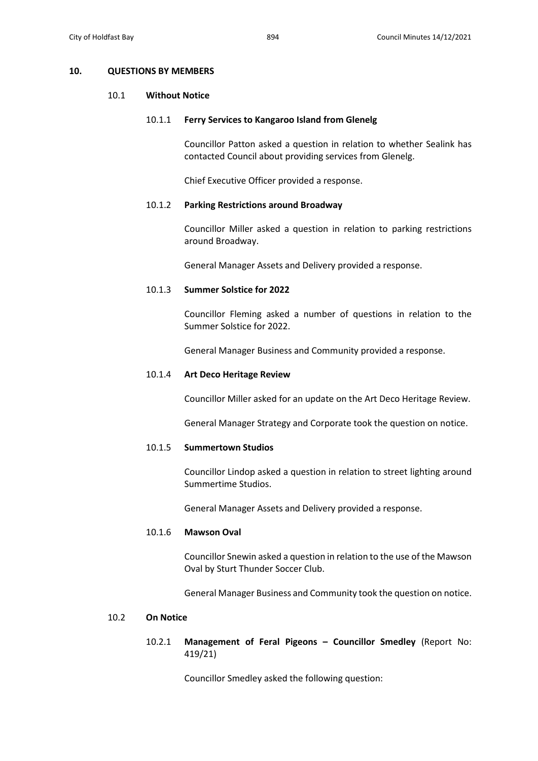#### **10. QUESTIONS BY MEMBERS**

#### 10.1 **Without Notice**

#### 10.1.1 **Ferry Services to Kangaroo Island from Glenelg**

Councillor Patton asked a question in relation to whether Sealink has contacted Council about providing services from Glenelg.

Chief Executive Officer provided a response.

#### 10.1.2 **Parking Restrictions around Broadway**

Councillor Miller asked a question in relation to parking restrictions around Broadway.

General Manager Assets and Delivery provided a response.

#### 10.1.3 **Summer Solstice for 2022**

Councillor Fleming asked a number of questions in relation to the Summer Solstice for 2022.

General Manager Business and Community provided a response.

#### 10.1.4 **Art Deco Heritage Review**

Councillor Miller asked for an update on the Art Deco Heritage Review.

General Manager Strategy and Corporate took the question on notice.

# 10.1.5 **Summertown Studios**

Councillor Lindop asked a question in relation to street lighting around Summertime Studios.

General Manager Assets and Delivery provided a response.

#### 10.1.6 **Mawson Oval**

Councillor Snewin asked a question in relation to the use of the Mawson Oval by Sturt Thunder Soccer Club.

General Manager Business and Community took the question on notice.

# 10.2 **On Notice**

# 10.2.1 **Management of Feral Pigeons – Councillor Smedley** (Report No: 419/21)

Councillor Smedley asked the following question: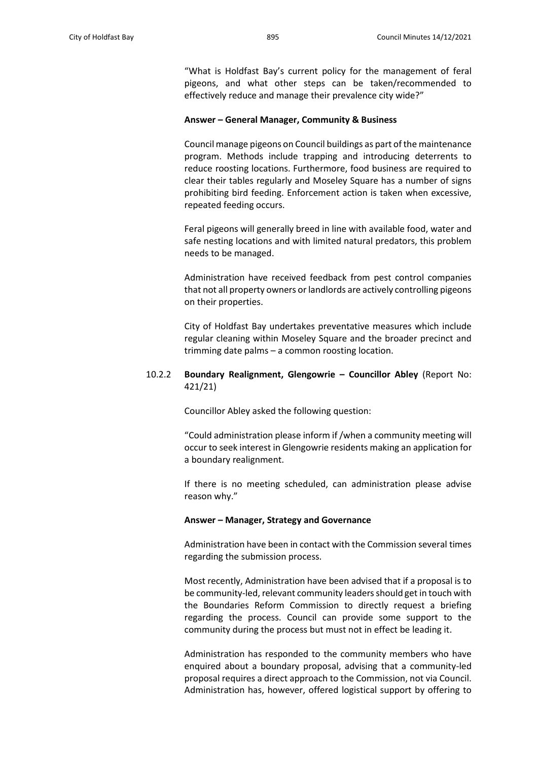"What is Holdfast Bay's current policy for the management of feral pigeons, and what other steps can be taken/recommended to effectively reduce and manage their prevalence city wide?"

#### **Answer – General Manager, Community & Business**

Council manage pigeons on Council buildings as part of the maintenance program. Methods include trapping and introducing deterrents to reduce roosting locations. Furthermore, food business are required to clear their tables regularly and Moseley Square has a number of signs prohibiting bird feeding. Enforcement action is taken when excessive, repeated feeding occurs.

Feral pigeons will generally breed in line with available food, water and safe nesting locations and with limited natural predators, this problem needs to be managed.

Administration have received feedback from pest control companies that not all property owners or landlords are actively controlling pigeons on their properties.

City of Holdfast Bay undertakes preventative measures which include regular cleaning within Moseley Square and the broader precinct and trimming date palms – a common roosting location.

# 10.2.2 **Boundary Realignment, Glengowrie – Councillor Abley** (Report No: 421/21)

Councillor Abley asked the following question:

"Could administration please inform if /when a community meeting will occur to seek interest in Glengowrie residents making an application for a boundary realignment.

If there is no meeting scheduled, can administration please advise reason why."

#### **Answer – Manager, Strategy and Governance**

Administration have been in contact with the Commission several times regarding the submission process.

Most recently, Administration have been advised that if a proposal is to be community-led, relevant community leaders should get in touch with the Boundaries Reform Commission to directly request a briefing regarding the process. Council can provide some support to the community during the process but must not in effect be leading it.

Administration has responded to the community members who have enquired about a boundary proposal, advising that a community-led proposal requires a direct approach to the Commission, not via Council. Administration has, however, offered logistical support by offering to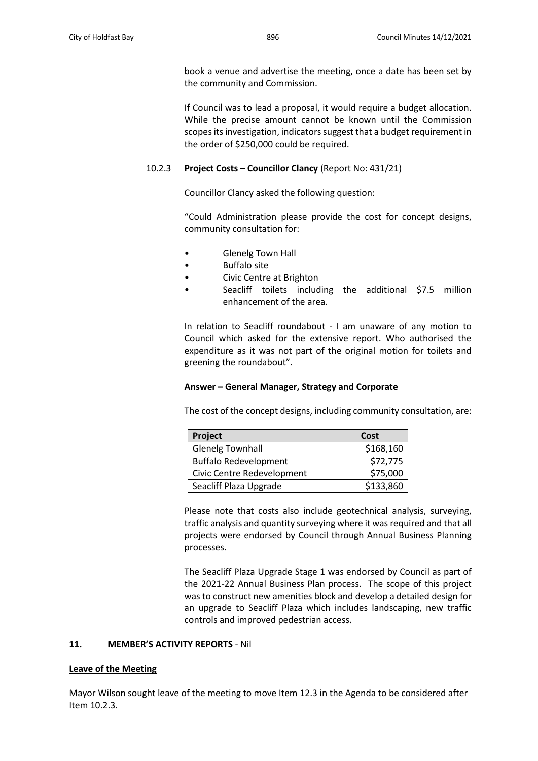book a venue and advertise the meeting, once a date has been set by the community and Commission.

If Council was to lead a proposal, it would require a budget allocation. While the precise amount cannot be known until the Commission scopes its investigation, indicators suggest that a budget requirement in the order of \$250,000 could be required.

# 10.2.3 **Project Costs – Councillor Clancy** (Report No: 431/21)

Councillor Clancy asked the following question:

"Could Administration please provide the cost for concept designs, community consultation for:

- Glenelg Town Hall
- Buffalo site
- Civic Centre at Brighton
- Seacliff toilets including the additional \$7.5 million enhancement of the area.

In relation to Seacliff roundabout - I am unaware of any motion to Council which asked for the extensive report. Who authorised the expenditure as it was not part of the original motion for toilets and greening the roundabout".

# **Answer – General Manager, Strategy and Corporate**

The cost of the concept designs, including community consultation, are:

| Project                      | Cost      |
|------------------------------|-----------|
| <b>Glenelg Townhall</b>      | \$168,160 |
| <b>Buffalo Redevelopment</b> | \$72,775  |
| Civic Centre Redevelopment   | \$75,000  |
| Seacliff Plaza Upgrade       | \$133,860 |

Please note that costs also include geotechnical analysis, surveying, traffic analysis and quantity surveying where it was required and that all projects were endorsed by Council through Annual Business Planning processes.

The Seacliff Plaza Upgrade Stage 1 was endorsed by Council as part of the 2021-22 Annual Business Plan process. The scope of this project was to construct new amenities block and develop a detailed design for an upgrade to Seacliff Plaza which includes landscaping, new traffic controls and improved pedestrian access.

# **11. MEMBER'S ACTIVITY REPORTS** - Nil

### **Leave of the Meeting**

Mayor Wilson sought leave of the meeting to move Item 12.3 in the Agenda to be considered after Item 10.2.3.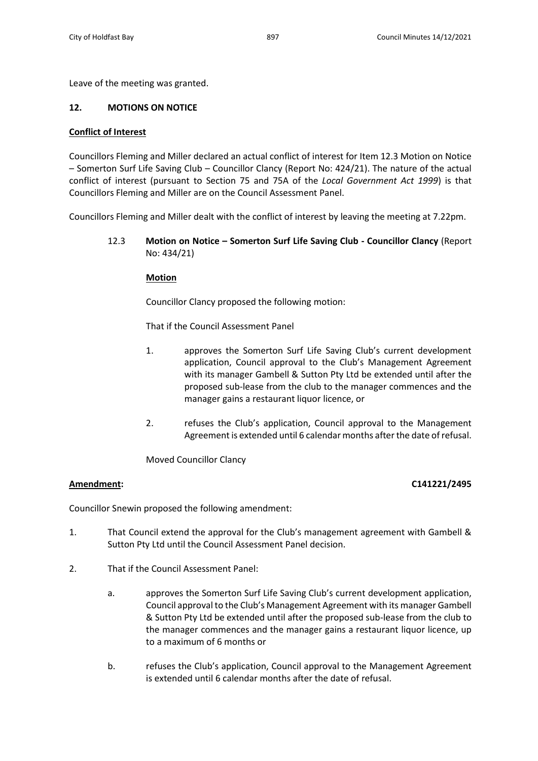Leave of the meeting was granted.

# **12. MOTIONS ON NOTICE**

### **Conflict of Interest**

Councillors Fleming and Miller declared an actual conflict of interest for Item 12.3 Motion on Notice – Somerton Surf Life Saving Club – Councillor Clancy (Report No: 424/21). The nature of the actual conflict of interest (pursuant to Section 75 and 75A of the *Local Government Act 1999*) is that Councillors Fleming and Miller are on the Council Assessment Panel.

Councillors Fleming and Miller dealt with the conflict of interest by leaving the meeting at 7.22pm.

12.3 **Motion on Notice – Somerton Surf Life Saving Club - Councillor Clancy** (Report No: 434/21)

### **Motion**

Councillor Clancy proposed the following motion:

That if the Council Assessment Panel

- 1. approves the Somerton Surf Life Saving Club's current development application, Council approval to the Club's Management Agreement with its manager Gambell & Sutton Pty Ltd be extended until after the proposed sub-lease from the club to the manager commences and the manager gains a restaurant liquor licence, or
- 2. refuses the Club's application, Council approval to the Management Agreement is extended until 6 calendar months after the date of refusal.

Moved Councillor Clancy

# **Amendment: C141221/2495**

Councillor Snewin proposed the following amendment:

- 1. That Council extend the approval for the Club's management agreement with Gambell & Sutton Pty Ltd until the Council Assessment Panel decision.
- 2. That if the Council Assessment Panel:
	- a. approves the Somerton Surf Life Saving Club's current development application, Council approval to the Club's Management Agreement with its manager Gambell & Sutton Pty Ltd be extended until after the proposed sub-lease from the club to the manager commences and the manager gains a restaurant liquor licence, up to a maximum of 6 months or
	- b. refuses the Club's application, Council approval to the Management Agreement is extended until 6 calendar months after the date of refusal.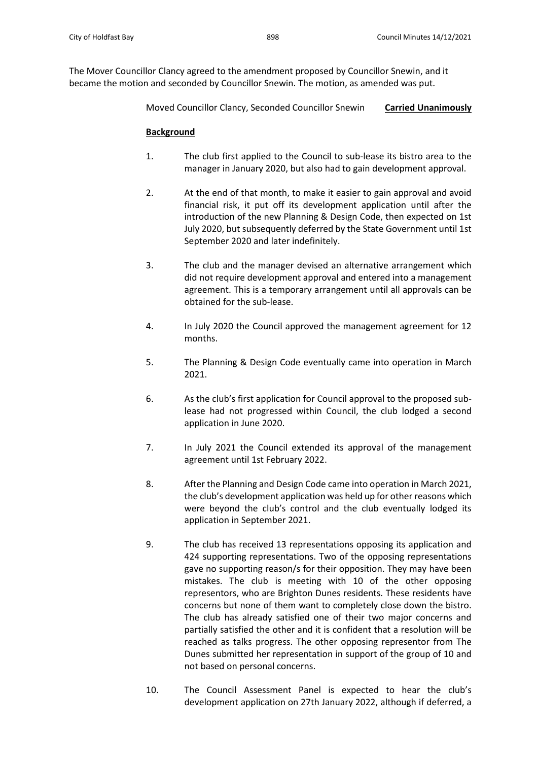Moved Councillor Clancy, Seconded Councillor Snewin **Carried Unanimously**

# **Background**

- 1. The club first applied to the Council to sub-lease its bistro area to the manager in January 2020, but also had to gain development approval.
- 2. At the end of that month, to make it easier to gain approval and avoid financial risk, it put off its development application until after the introduction of the new Planning & Design Code, then expected on 1st July 2020, but subsequently deferred by the State Government until 1st September 2020 and later indefinitely.
- 3. The club and the manager devised an alternative arrangement which did not require development approval and entered into a management agreement. This is a temporary arrangement until all approvals can be obtained for the sub-lease.
- 4. In July 2020 the Council approved the management agreement for 12 months.
- 5. The Planning & Design Code eventually came into operation in March 2021.
- 6. As the club's first application for Council approval to the proposed sublease had not progressed within Council, the club lodged a second application in June 2020.
- 7. In July 2021 the Council extended its approval of the management agreement until 1st February 2022.
- 8. After the Planning and Design Code came into operation in March 2021, the club's development application was held up for other reasons which were beyond the club's control and the club eventually lodged its application in September 2021.
- 9. The club has received 13 representations opposing its application and 424 supporting representations. Two of the opposing representations gave no supporting reason/s for their opposition. They may have been mistakes. The club is meeting with 10 of the other opposing representors, who are Brighton Dunes residents. These residents have concerns but none of them want to completely close down the bistro. The club has already satisfied one of their two major concerns and partially satisfied the other and it is confident that a resolution will be reached as talks progress. The other opposing representor from The Dunes submitted her representation in support of the group of 10 and not based on personal concerns.
- 10. The Council Assessment Panel is expected to hear the club's development application on 27th January 2022, although if deferred, a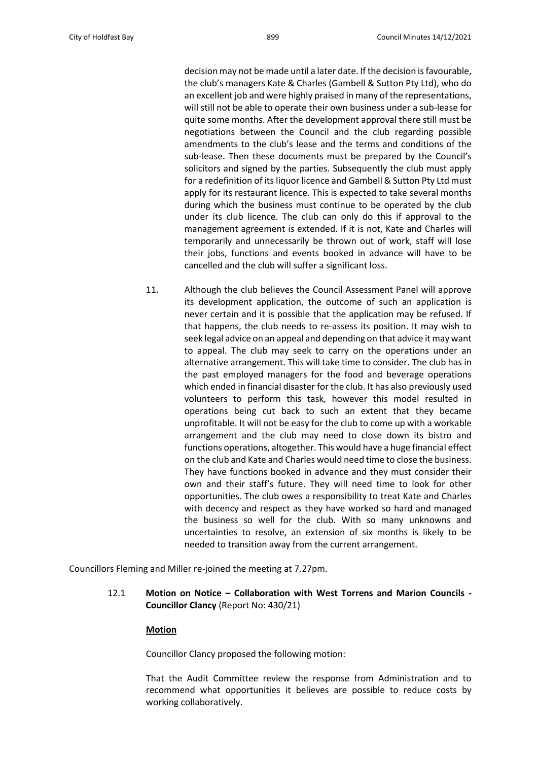decision may not be made until a later date. If the decision is favourable, the club's managers Kate & Charles (Gambell & Sutton Pty Ltd), who do an excellent job and were highly praised in many of the representations, will still not be able to operate their own business under a sub-lease for quite some months. After the development approval there still must be negotiations between the Council and the club regarding possible amendments to the club's lease and the terms and conditions of the sub-lease. Then these documents must be prepared by the Council's solicitors and signed by the parties. Subsequently the club must apply for a redefinition of its liquor licence and Gambell & Sutton Pty Ltd must apply for its restaurant licence. This is expected to take several months during which the business must continue to be operated by the club under its club licence. The club can only do this if approval to the management agreement is extended. If it is not, Kate and Charles will temporarily and unnecessarily be thrown out of work, staff will lose their jobs, functions and events booked in advance will have to be cancelled and the club will suffer a significant loss.

11. Although the club believes the Council Assessment Panel will approve its development application, the outcome of such an application is never certain and it is possible that the application may be refused. If that happens, the club needs to re-assess its position. It may wish to seek legal advice on an appeal and depending on that advice it may want to appeal. The club may seek to carry on the operations under an alternative arrangement. This will take time to consider. The club has in the past employed managers for the food and beverage operations which ended in financial disaster for the club. It has also previously used volunteers to perform this task, however this model resulted in operations being cut back to such an extent that they became unprofitable. It will not be easy for the club to come up with a workable arrangement and the club may need to close down its bistro and functions operations, altogether. This would have a huge financial effect on the club and Kate and Charles would need time to close the business. They have functions booked in advance and they must consider their own and their staff's future. They will need time to look for other opportunities. The club owes a responsibility to treat Kate and Charles with decency and respect as they have worked so hard and managed the business so well for the club. With so many unknowns and uncertainties to resolve, an extension of six months is likely to be needed to transition away from the current arrangement.

Councillors Fleming and Miller re-joined the meeting at 7.27pm.

12.1 **Motion on Notice – Collaboration with West Torrens and Marion Councils - Councillor Clancy** (Report No: 430/21)

#### **Motion**

Councillor Clancy proposed the following motion:

That the Audit Committee review the response from Administration and to recommend what opportunities it believes are possible to reduce costs by working collaboratively.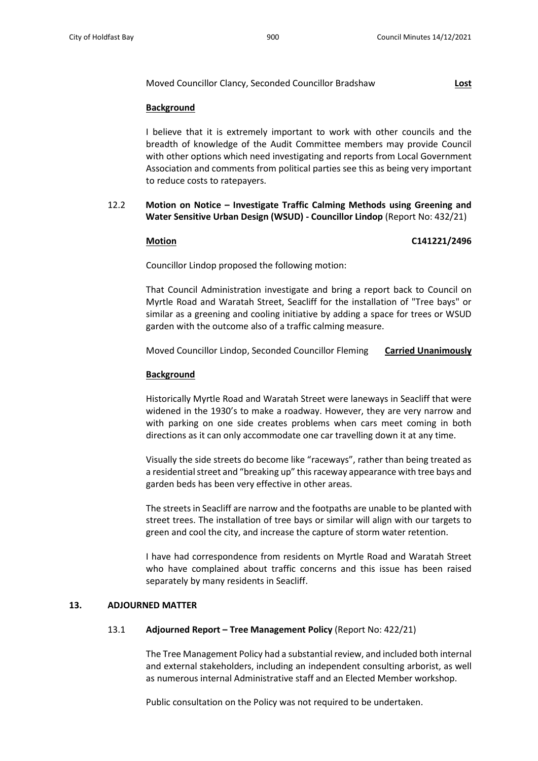### Moved Councillor Clancy, Seconded Councillor Bradshaw **Lost**

### **Background**

I believe that it is extremely important to work with other councils and the breadth of knowledge of the Audit Committee members may provide Council with other options which need investigating and reports from Local Government Association and comments from political parties see this as being very important to reduce costs to ratepayers.

# 12.2 **Motion on Notice – Investigate Traffic Calming Methods using Greening and Water Sensitive Urban Design (WSUD) - Councillor Lindop** (Report No: 432/21)

#### **Motion C141221/2496**

Councillor Lindop proposed the following motion:

That Council Administration investigate and bring a report back to Council on Myrtle Road and Waratah Street, Seacliff for the installation of "Tree bays" or similar as a greening and cooling initiative by adding a space for trees or WSUD garden with the outcome also of a traffic calming measure.

Moved Councillor Lindop, Seconded Councillor Fleming **Carried Unanimously**

### **Background**

Historically Myrtle Road and Waratah Street were laneways in Seacliff that were widened in the 1930's to make a roadway. However, they are very narrow and with parking on one side creates problems when cars meet coming in both directions as it can only accommodate one car travelling down it at any time.

Visually the side streets do become like "raceways", rather than being treated as a residential street and "breaking up" this raceway appearance with tree bays and garden beds has been very effective in other areas.

The streets in Seacliff are narrow and the footpaths are unable to be planted with street trees. The installation of tree bays or similar will align with our targets to green and cool the city, and increase the capture of storm water retention.

I have had correspondence from residents on Myrtle Road and Waratah Street who have complained about traffic concerns and this issue has been raised separately by many residents in Seacliff.

### **13. ADJOURNED MATTER**

### 13.1 **Adjourned Report – Tree Management Policy** (Report No: 422/21)

The Tree Management Policy had a substantial review, and included both internal and external stakeholders, including an independent consulting arborist, as well as numerous internal Administrative staff and an Elected Member workshop.

Public consultation on the Policy was not required to be undertaken.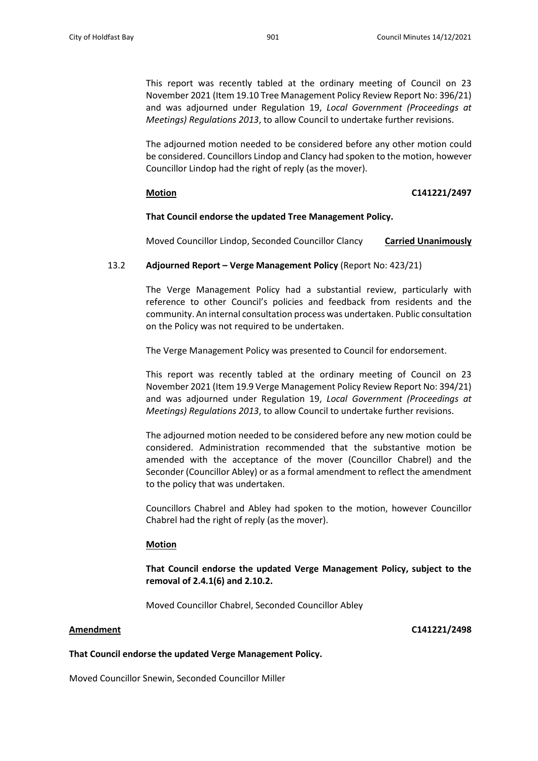This report was recently tabled at the ordinary meeting of Council on 23 November 2021 (Item 19.10 Tree Management Policy Review Report No: 396/21) and was adjourned under Regulation 19, *Local Government (Proceedings at Meetings) Regulations 2013*, to allow Council to undertake further revisions.

The adjourned motion needed to be considered before any other motion could be considered. Councillors Lindop and Clancy had spoken to the motion, however Councillor Lindop had the right of reply (as the mover).

### **Motion C141221/2497**

#### **That Council endorse the updated Tree Management Policy.**

Moved Councillor Lindop, Seconded Councillor Clancy **Carried Unanimously**

### 13.2 **Adjourned Report – Verge Management Policy** (Report No: 423/21)

The Verge Management Policy had a substantial review, particularly with reference to other Council's policies and feedback from residents and the community. An internal consultation process was undertaken. Public consultation on the Policy was not required to be undertaken.

The Verge Management Policy was presented to Council for endorsement.

This report was recently tabled at the ordinary meeting of Council on 23 November 2021 (Item 19.9 Verge Management Policy Review Report No: 394/21) and was adjourned under Regulation 19, *Local Government (Proceedings at Meetings) Regulations 2013*, to allow Council to undertake further revisions.

The adjourned motion needed to be considered before any new motion could be considered. Administration recommended that the substantive motion be amended with the acceptance of the mover (Councillor Chabrel) and the Seconder (Councillor Abley) or as a formal amendment to reflect the amendment to the policy that was undertaken.

Councillors Chabrel and Abley had spoken to the motion, however Councillor Chabrel had the right of reply (as the mover).

#### **Motion**

**That Council endorse the updated Verge Management Policy, subject to the removal of 2.4.1(6) and 2.10.2.**

Moved Councillor Chabrel, Seconded Councillor Abley

**Amendment C141221/2498**

#### **That Council endorse the updated Verge Management Policy.**

Moved Councillor Snewin, Seconded Councillor Miller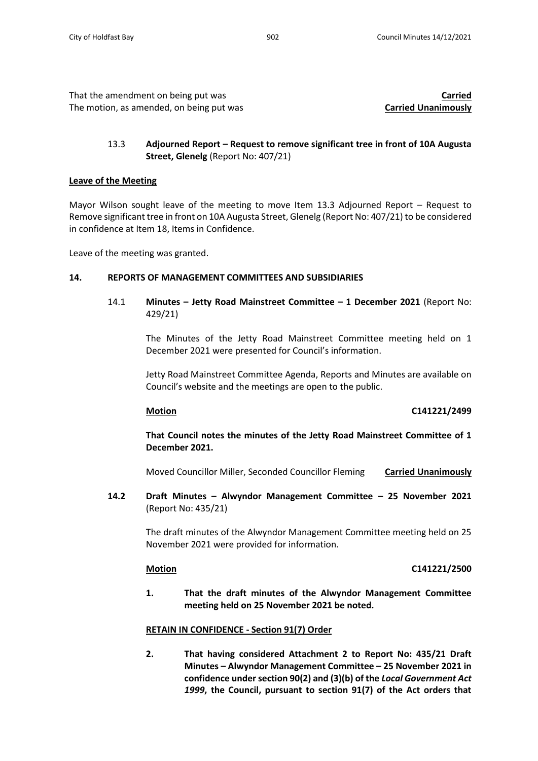That the amendment on being put was **Carried** The motion, as amended, on being put was **Carried Unanimously**

# 13.3 **Adjourned Report – Request to remove significant tree in front of 10A Augusta Street, Glenelg** (Report No: 407/21)

# **Leave of the Meeting**

Mayor Wilson sought leave of the meeting to move Item 13.3 Adjourned Report – Request to Remove significant tree in front on 10A Augusta Street, Glenelg (Report No: 407/21) to be considered in confidence at Item 18, Items in Confidence.

Leave of the meeting was granted.

## **14. REPORTS OF MANAGEMENT COMMITTEES AND SUBSIDIARIES**

14.1 **Minutes – Jetty Road Mainstreet Committee – 1 December 2021** (Report No: 429/21)

> The Minutes of the Jetty Road Mainstreet Committee meeting held on 1 December 2021 were presented for Council's information.

> Jetty Road Mainstreet Committee Agenda, Reports and Minutes are available on Council's website and the meetings are open to the public.

# **Motion C141221/2499**

**That Council notes the minutes of the Jetty Road Mainstreet Committee of 1 December 2021.**

Moved Councillor Miller, Seconded Councillor Fleming **Carried Unanimously**

**14.2 Draft Minutes – Alwyndor Management Committee – 25 November 2021**  (Report No: 435/21)

> The draft minutes of the Alwyndor Management Committee meeting held on 25 November 2021 were provided for information.

### **Motion C141221/2500**

**1. That the draft minutes of the Alwyndor Management Committee meeting held on 25 November 2021 be noted.**

# **RETAIN IN CONFIDENCE - Section 91(7) Order**

**2. That having considered Attachment 2 to Report No: 435/21 Draft Minutes – Alwyndor Management Committee – 25 November 2021 in confidence under section 90(2) and (3)(b) of the** *Local Government Act 1999***, the Council, pursuant to section 91(7) of the Act orders that**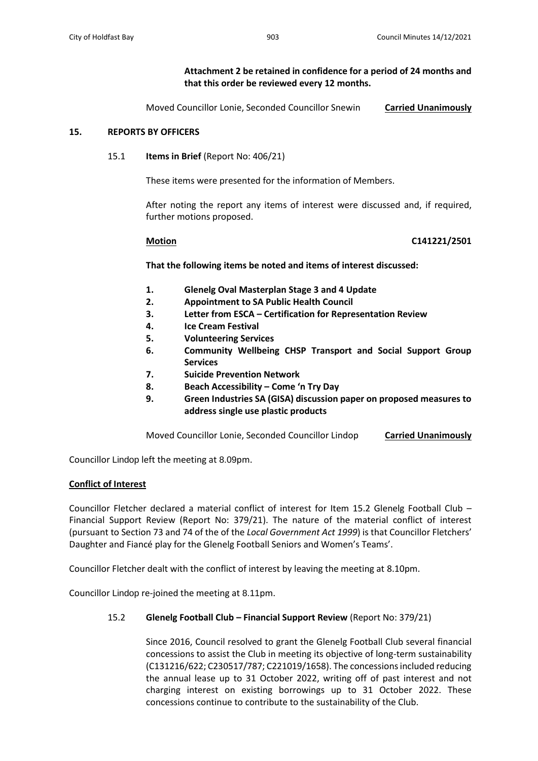# **Attachment 2 be retained in confidence for a period of 24 months and that this order be reviewed every 12 months.**

Moved Councillor Lonie, Seconded Councillor Snewin **Carried Unanimously**

### **15. REPORTS BY OFFICERS**

### 15.1 **Items in Brief** (Report No: 406/21)

These items were presented for the information of Members.

After noting the report any items of interest were discussed and, if required, further motions proposed.

### **Motion C141221/2501**

**That the following items be noted and items of interest discussed:**

- **1. Glenelg Oval Masterplan Stage 3 and 4 Update**
- **2. Appointment to SA Public Health Council**
- **3. Letter from ESCA – Certification for Representation Review**
- **4. Ice Cream Festival**
- **5. Volunteering Services**
- **6. Community Wellbeing CHSP Transport and Social Support Group Services**
- **7. Suicide Prevention Network**
- **8. Beach Accessibility – Come 'n Try Day**
- **9. Green Industries SA (GISA) discussion paper on proposed measures to address single use plastic products**

Moved Councillor Lonie, Seconded Councillor Lindop **Carried Unanimously**

Councillor Lindop left the meeting at 8.09pm.

### **Conflict of Interest**

Councillor Fletcher declared a material conflict of interest for Item 15.2 Glenelg Football Club – Financial Support Review (Report No: 379/21). The nature of the material conflict of interest (pursuant to Section 73 and 74 of the of the *Local Government Act 1999*) is that Councillor Fletchers' Daughter and Fiancé play for the Glenelg Football Seniors and Women's Teams'.

Councillor Fletcher dealt with the conflict of interest by leaving the meeting at 8.10pm.

Councillor Lindop re-joined the meeting at 8.11pm.

# 15.2 **Glenelg Football Club – Financial Support Review** (Report No: 379/21)

Since 2016, Council resolved to grant the Glenelg Football Club several financial concessions to assist the Club in meeting its objective of long-term sustainability (C131216/622; C230517/787; C221019/1658). The concessions included reducing the annual lease up to 31 October 2022, writing off of past interest and not charging interest on existing borrowings up to 31 October 2022. These concessions continue to contribute to the sustainability of the Club.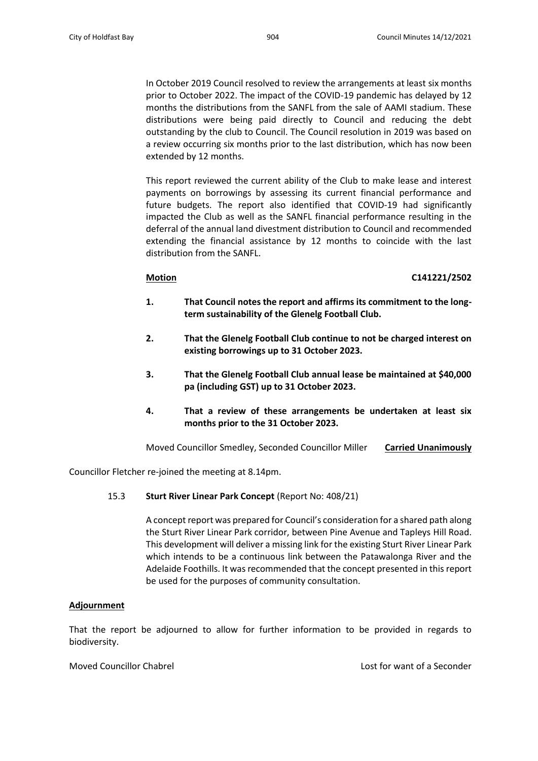In October 2019 Council resolved to review the arrangements at least six months prior to October 2022. The impact of the COVID-19 pandemic has delayed by 12 months the distributions from the SANFL from the sale of AAMI stadium. These distributions were being paid directly to Council and reducing the debt outstanding by the club to Council. The Council resolution in 2019 was based on a review occurring six months prior to the last distribution, which has now been extended by 12 months.

This report reviewed the current ability of the Club to make lease and interest payments on borrowings by assessing its current financial performance and future budgets. The report also identified that COVID-19 had significantly impacted the Club as well as the SANFL financial performance resulting in the deferral of the annual land divestment distribution to Council and recommended extending the financial assistance by 12 months to coincide with the last distribution from the SANFL.

### **Motion C141221/2502**

- **1. That Council notes the report and affirms its commitment to the longterm sustainability of the Glenelg Football Club.**
- **2. That the Glenelg Football Club continue to not be charged interest on existing borrowings up to 31 October 2023.**
- **3. That the Glenelg Football Club annual lease be maintained at \$40,000 pa (including GST) up to 31 October 2023.**
- **4. That a review of these arrangements be undertaken at least six months prior to the 31 October 2023.**

Moved Councillor Smedley, Seconded Councillor Miller **Carried Unanimously**

Councillor Fletcher re-joined the meeting at 8.14pm.

# 15.3 **Sturt River Linear Park Concept** (Report No: 408/21)

A concept report was prepared for Council's consideration for a shared path along the Sturt River Linear Park corridor, between Pine Avenue and Tapleys Hill Road. This development will deliver a missing link for the existing Sturt River Linear Park which intends to be a continuous link between the Patawalonga River and the Adelaide Foothills. It was recommended that the concept presented in this report be used for the purposes of community consultation.

# **Adjournment**

That the report be adjourned to allow for further information to be provided in regards to biodiversity.

Moved Councillor Chabrel **Lost for want of a Seconder** Lost for want of a Seconder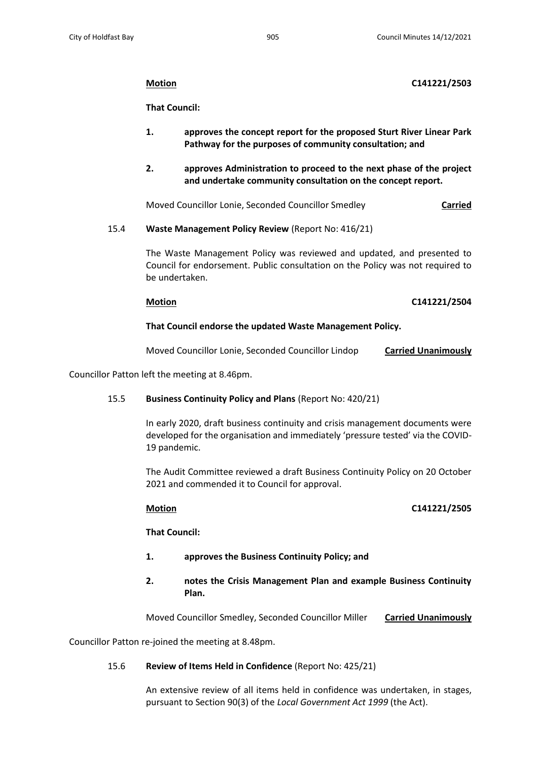# **Motion C141221/2503**

**That Council:**

- **1. approves the concept report for the proposed Sturt River Linear Park Pathway for the purposes of community consultation; and**
- **2. approves Administration to proceed to the next phase of the project and undertake community consultation on the concept report.**

Moved Councillor Lonie, Seconded Councillor Smedley **Carried**

15.4 **Waste Management Policy Review** (Report No: 416/21)

The Waste Management Policy was reviewed and updated, and presented to Council for endorsement. Public consultation on the Policy was not required to be undertaken.

## **Motion C141221/2504**

## **That Council endorse the updated Waste Management Policy.**

Moved Councillor Lonie, Seconded Councillor Lindop **Carried Unanimously**

Councillor Patton left the meeting at 8.46pm.

# 15.5 **Business Continuity Policy and Plans** (Report No: 420/21)

In early 2020, draft business continuity and crisis management documents were developed for the organisation and immediately 'pressure tested' via the COVID-19 pandemic.

The Audit Committee reviewed a draft Business Continuity Policy on 20 October 2021 and commended it to Council for approval.

# **Motion C141221/2505**

**That Council:**

- **1. approves the Business Continuity Policy; and**
- **2. notes the Crisis Management Plan and example Business Continuity Plan.**

Moved Councillor Smedley, Seconded Councillor Miller **Carried Unanimously**

Councillor Patton re-joined the meeting at 8.48pm.

# 15.6 **Review of Items Held in Confidence** (Report No: 425/21)

An extensive review of all items held in confidence was undertaken, in stages, pursuant to Section 90(3) of the *Local Government Act 1999* (the Act).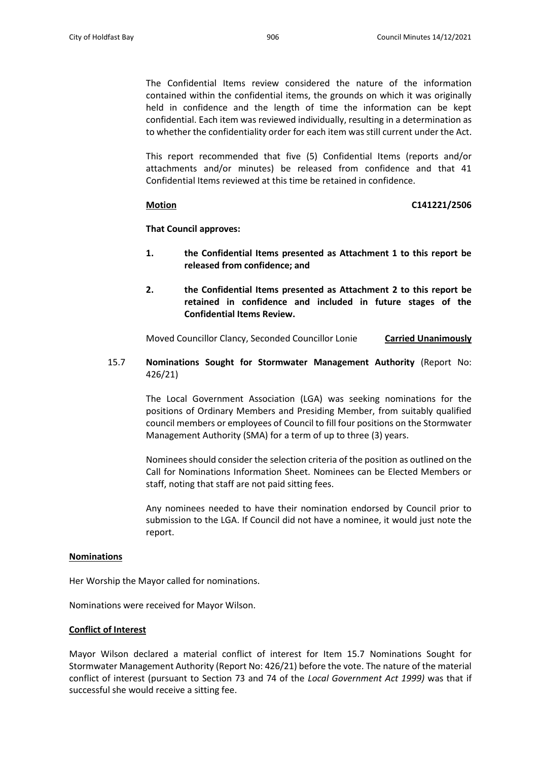The Confidential Items review considered the nature of the information contained within the confidential items, the grounds on which it was originally held in confidence and the length of time the information can be kept confidential. Each item was reviewed individually, resulting in a determination as to whether the confidentiality order for each item was still current under the Act.

This report recommended that five (5) Confidential Items (reports and/or attachments and/or minutes) be released from confidence and that 41 Confidential Items reviewed at this time be retained in confidence.

### **Motion C141221/2506**

**That Council approves:**

- **1. the Confidential Items presented as Attachment 1 to this report be released from confidence; and**
- **2. the Confidential Items presented as Attachment 2 to this report be retained in confidence and included in future stages of the Confidential Items Review.**

Moved Councillor Clancy, Seconded Councillor Lonie **Carried Unanimously**

15.7 **Nominations Sought for Stormwater Management Authority** (Report No: 426/21)

> The Local Government Association (LGA) was seeking nominations for the positions of Ordinary Members and Presiding Member, from suitably qualified council members or employees of Council to fill four positions on the Stormwater Management Authority (SMA) for a term of up to three (3) years.

> Nominees should consider the selection criteria of the position as outlined on the Call for Nominations Information Sheet. Nominees can be Elected Members or staff, noting that staff are not paid sitting fees.

> Any nominees needed to have their nomination endorsed by Council prior to submission to the LGA. If Council did not have a nominee, it would just note the report.

### **Nominations**

Her Worship the Mayor called for nominations.

Nominations were received for Mayor Wilson.

### **Conflict of Interest**

Mayor Wilson declared a material conflict of interest for Item 15.7 Nominations Sought for Stormwater Management Authority (Report No: 426/21) before the vote. The nature of the material conflict of interest (pursuant to Section 73 and 74 of the *Local Government Act 1999)* was that if successful she would receive a sitting fee.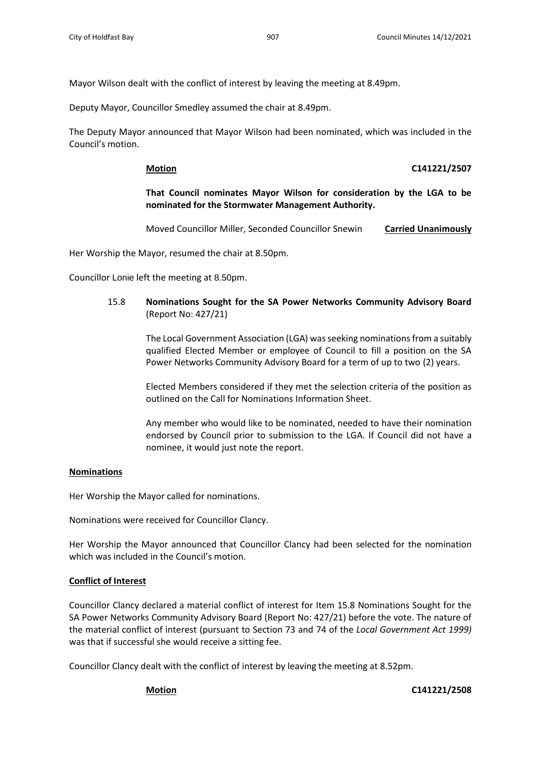Mayor Wilson dealt with the conflict of interest by leaving the meeting at 8.49pm.

Deputy Mayor, Councillor Smedley assumed the chair at 8.49pm.

The Deputy Mayor announced that Mayor Wilson had been nominated, which was included in the Council's motion.

### **Motion C141221/2507**

# **That Council nominates Mayor Wilson for consideration by the LGA to be nominated for the Stormwater Management Authority.**

Moved Councillor Miller, Seconded Councillor Snewin **Carried Unanimously**

Her Worship the Mayor, resumed the chair at 8.50pm.

Councillor Lonie left the meeting at 8.50pm.

15.8 **Nominations Sought for the SA Power Networks Community Advisory Board** (Report No: 427/21)

> The Local Government Association (LGA) wasseeking nominations from a suitably qualified Elected Member or employee of Council to fill a position on the SA Power Networks Community Advisory Board for a term of up to two (2) years.

> Elected Members considered if they met the selection criteria of the position as outlined on the Call for Nominations Information Sheet.

> Any member who would like to be nominated, needed to have their nomination endorsed by Council prior to submission to the LGA. If Council did not have a nominee, it would just note the report.

# **Nominations**

Her Worship the Mayor called for nominations.

Nominations were received for Councillor Clancy.

Her Worship the Mayor announced that Councillor Clancy had been selected for the nomination which was included in the Council's motion.

# **Conflict of Interest**

Councillor Clancy declared a material conflict of interest for Item 15.8 Nominations Sought for the SA Power Networks Community Advisory Board (Report No: 427/21) before the vote. The nature of the material conflict of interest (pursuant to Section 73 and 74 of the *Local Government Act 1999)* was that if successful she would receive a sitting fee.

Councillor Clancy dealt with the conflict of interest by leaving the meeting at 8.52pm.

**Motion C141221/2508**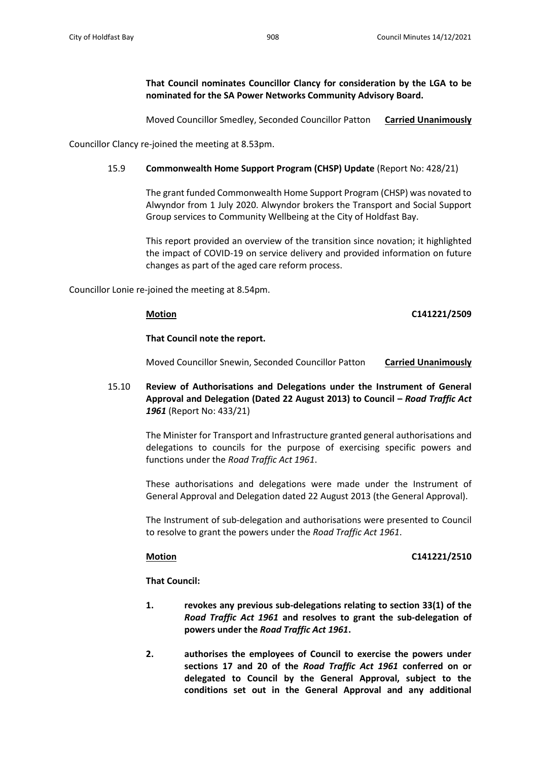**That Council nominates Councillor Clancy for consideration by the LGA to be nominated for the SA Power Networks Community Advisory Board.**

Moved Councillor Smedley, Seconded Councillor Patton **Carried Unanimously**

Councillor Clancy re-joined the meeting at 8.53pm.

# 15.9 **Commonwealth Home Support Program (CHSP) Update** (Report No: 428/21)

The grant funded Commonwealth Home Support Program (CHSP) was novated to Alwyndor from 1 July 2020. Alwyndor brokers the Transport and Social Support Group services to Community Wellbeing at the City of Holdfast Bay.

This report provided an overview of the transition since novation; it highlighted the impact of COVID-19 on service delivery and provided information on future changes as part of the aged care reform process.

Councillor Lonie re-joined the meeting at 8.54pm.

**Motion C141221/2509**

### **That Council note the report.**

Moved Councillor Snewin, Seconded Councillor Patton **Carried Unanimously**

15.10 **Review of Authorisations and Delegations under the Instrument of General Approval and Delegation (Dated 22 August 2013) to Council –** *Road Traffic Act 1961* (Report No: 433/21)

> The Minister for Transport and Infrastructure granted general authorisations and delegations to councils for the purpose of exercising specific powers and functions under the *Road Traffic Act 1961*.

> These authorisations and delegations were made under the Instrument of General Approval and Delegation dated 22 August 2013 (the General Approval).

> The Instrument of sub-delegation and authorisations were presented to Council to resolve to grant the powers under the *Road Traffic Act 1961*.

### **Motion C141221/2510**

**That Council:**

- **1. revokes any previous sub-delegations relating to section 33(1) of the**  *Road Traffic Act 1961* **and resolves to grant the sub-delegation of powers under the** *Road Traffic Act 1961***.**
- **2. authorises the employees of Council to exercise the powers under sections 17 and 20 of the** *Road Traffic Act 1961* **conferred on or delegated to Council by the General Approval, subject to the conditions set out in the General Approval and any additional**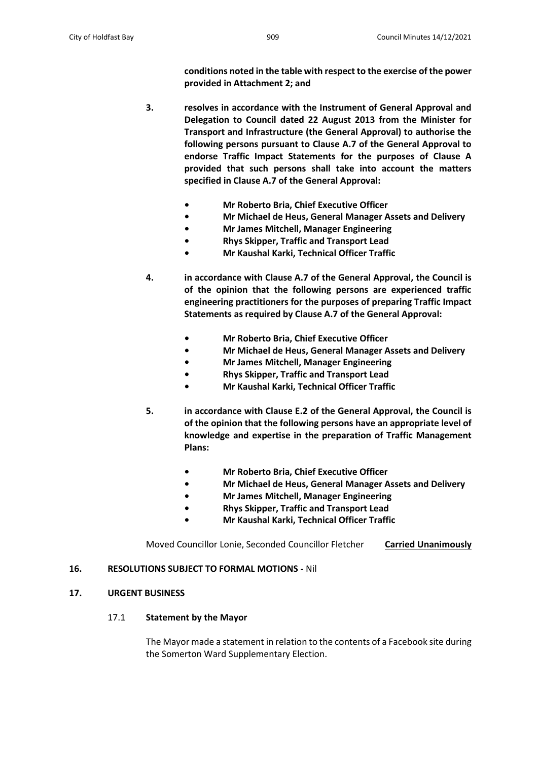**conditions noted in the table with respect to the exercise of the power provided in Attachment 2; and**

- **3. resolves in accordance with the Instrument of General Approval and Delegation to Council dated 22 August 2013 from the Minister for Transport and Infrastructure (the General Approval) to authorise the following persons pursuant to Clause A.7 of the General Approval to endorse Traffic Impact Statements for the purposes of Clause A provided that such persons shall take into account the matters specified in Clause A.7 of the General Approval:**
	- **• Mr Roberto Bria, Chief Executive Officer**
	- **• Mr Michael de Heus, General Manager Assets and Delivery**
	- **• Mr James Mitchell, Manager Engineering**
	- **• Rhys Skipper, Traffic and Transport Lead**
	- **• Mr Kaushal Karki, Technical Officer Traffic**
- **4. in accordance with Clause A.7 of the General Approval, the Council is of the opinion that the following persons are experienced traffic engineering practitioners for the purposes of preparing Traffic Impact Statements as required by Clause A.7 of the General Approval:**
	- **• Mr Roberto Bria, Chief Executive Officer**
	- **• Mr Michael de Heus, General Manager Assets and Delivery**
	- **• Mr James Mitchell, Manager Engineering**
	- **• Rhys Skipper, Traffic and Transport Lead**
	- **• Mr Kaushal Karki, Technical Officer Traffic**
- **5. in accordance with Clause E.2 of the General Approval, the Council is of the opinion that the following persons have an appropriate level of knowledge and expertise in the preparation of Traffic Management Plans:**
	- **• Mr Roberto Bria, Chief Executive Officer**
	- **• Mr Michael de Heus, General Manager Assets and Delivery**
	- **• Mr James Mitchell, Manager Engineering**
	- **• Rhys Skipper, Traffic and Transport Lead**
	- **• Mr Kaushal Karki, Technical Officer Traffic**

Moved Councillor Lonie, Seconded Councillor Fletcher **Carried Unanimously**

# **16. RESOLUTIONS SUBJECT TO FORMAL MOTIONS -** Nil

# **17. URGENT BUSINESS**

# 17.1 **Statement by the Mayor**

The Mayor made a statement in relation to the contents of a Facebook site during the Somerton Ward Supplementary Election.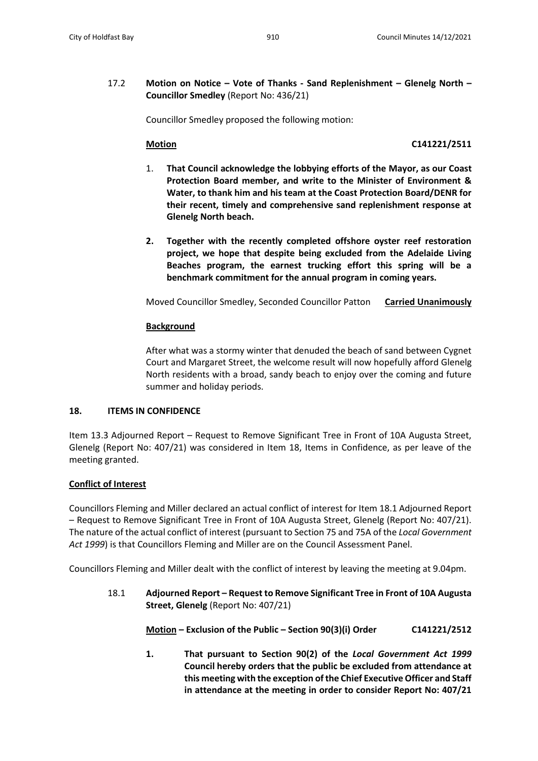17.2 **Motion on Notice – Vote of Thanks - Sand Replenishment – Glenelg North – Councillor Smedley** (Report No: 436/21)

Councillor Smedley proposed the following motion:

# **Motion C141221/2511**

- 1. **That Council acknowledge the lobbying efforts of the Mayor, as our Coast Protection Board member, and write to the Minister of Environment & Water, to thank him and his team at the Coast Protection Board/DENR for their recent, timely and comprehensive sand replenishment response at Glenelg North beach.**
- **2. Together with the recently completed offshore oyster reef restoration project, we hope that despite being excluded from the Adelaide Living Beaches program, the earnest trucking effort this spring will be a benchmark commitment for the annual program in coming years.**

Moved Councillor Smedley, Seconded Councillor Patton **Carried Unanimously**

## **Background**

After what was a stormy winter that denuded the beach of sand between Cygnet Court and Margaret Street, the welcome result will now hopefully afford Glenelg North residents with a broad, sandy beach to enjoy over the coming and future summer and holiday periods.

### **18. ITEMS IN CONFIDENCE**

Item 13.3 Adjourned Report – Request to Remove Significant Tree in Front of 10A Augusta Street, Glenelg (Report No: 407/21) was considered in Item 18, Items in Confidence, as per leave of the meeting granted.

# **Conflict of Interest**

Councillors Fleming and Miller declared an actual conflict of interest for Item 18.1 Adjourned Report – Request to Remove Significant Tree in Front of 10A Augusta Street, Glenelg (Report No: 407/21). The nature of the actual conflict of interest (pursuant to Section 75 and 75A of the *Local Government Act 1999*) is that Councillors Fleming and Miller are on the Council Assessment Panel.

Councillors Fleming and Miller dealt with the conflict of interest by leaving the meeting at 9.04pm.

18.1 **Adjourned Report – Request to Remove Significant Tree in Front of 10A Augusta Street, Glenelg** (Report No: 407/21)

**Motion – Exclusion of the Public – Section 90(3)(i) Order C141221/2512**

**1. That pursuant to Section 90(2) of the** *Local Government Act 1999* **Council hereby orders that the public be excluded from attendance at this meeting with the exception of the Chief Executive Officer and Staff in attendance at the meeting in order to consider Report No: 407/21**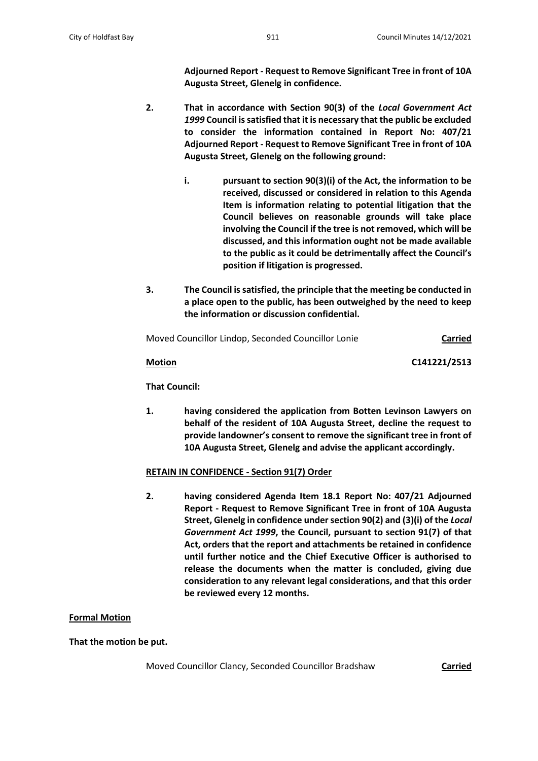**Adjourned Report - Request to Remove Significant Tree in front of 10A Augusta Street, Glenelg in confidence.**

- **2. That in accordance with Section 90(3) of the** *Local Government Act 1999* **Council is satisfied that it is necessary that the public be excluded to consider the information contained in Report No: 407/21 Adjourned Report - Request to Remove Significant Tree in front of 10A Augusta Street, Glenelg on the following ground:**
	- **i. pursuant to section 90(3)(i) of the Act, the information to be received, discussed or considered in relation to this Agenda Item is information relating to potential litigation that the Council believes on reasonable grounds will take place involving the Council if the tree is not removed, which will be discussed, and this information ought not be made available to the public as it could be detrimentally affect the Council's position if litigation is progressed.**
- **3. The Council is satisfied, the principle that the meeting be conducted in a place open to the public, has been outweighed by the need to keep the information or discussion confidential.**

| Moved Councillor Lindop, Seconded Councillor Lonie | <b>Carried</b> |
|----------------------------------------------------|----------------|
| <b>Motion</b>                                      | C141221/2513   |
| That Cauncily                                      |                |

**That Council:** 

**1. having considered the application from Botten Levinson Lawyers on behalf of the resident of 10A Augusta Street, decline the request to provide landowner's consent to remove the significant tree in front of 10A Augusta Street, Glenelg and advise the applicant accordingly.**

# **RETAIN IN CONFIDENCE - Section 91(7) Order**

**2. having considered Agenda Item 18.1 Report No: 407/21 Adjourned Report - Request to Remove Significant Tree in front of 10A Augusta Street, Glenelg in confidence under section 90(2) and (3)(i) of the** *Local Government Act 1999***, the Council, pursuant to section 91(7) of that Act, orders that the report and attachments be retained in confidence until further notice and the Chief Executive Officer is authorised to release the documents when the matter is concluded, giving due consideration to any relevant legal considerations, and that this order be reviewed every 12 months.**

# **Formal Motion**

**That the motion be put.**

Moved Councillor Clancy, Seconded Councillor Bradshaw **Carried**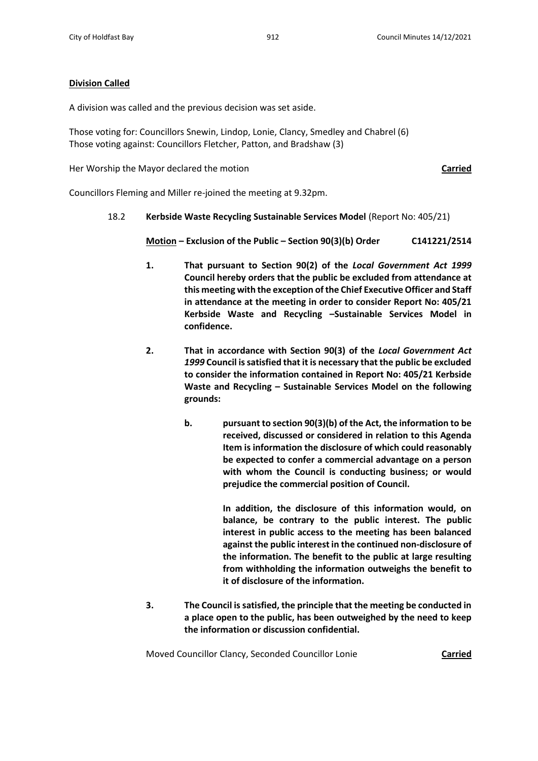# **Division Called**

A division was called and the previous decision was set aside.

Those voting for: Councillors Snewin, Lindop, Lonie, Clancy, Smedley and Chabrel (6) Those voting against: Councillors Fletcher, Patton, and Bradshaw (3)

Her Worship the Mayor declared the motion **Carried**

Councillors Fleming and Miller re-joined the meeting at 9.32pm.

## 18.2 **Kerbside Waste Recycling Sustainable Services Model** (Report No: 405/21)

**Motion – Exclusion of the Public – Section 90(3)(b) Order C141221/2514**

- **1. That pursuant to Section 90(2) of the** *Local Government Act 1999* **Council hereby orders that the public be excluded from attendance at this meeting with the exception of the Chief Executive Officer and Staff in attendance at the meeting in order to consider Report No: 405/21 Kerbside Waste and Recycling –Sustainable Services Model in confidence.**
- **2. That in accordance with Section 90(3) of the** *Local Government Act 1999* **Council is satisfied that it is necessary that the public be excluded to consider the information contained in Report No: 405/21 Kerbside Waste and Recycling – Sustainable Services Model on the following grounds:**
	- **b. pursuant to section 90(3)(b) of the Act, the information to be received, discussed or considered in relation to this Agenda Item is information the disclosure of which could reasonably be expected to confer a commercial advantage on a person with whom the Council is conducting business; or would prejudice the commercial position of Council.**

**In addition, the disclosure of this information would, on balance, be contrary to the public interest. The public interest in public access to the meeting has been balanced against the public interest in the continued non-disclosure of the information. The benefit to the public at large resulting from withholding the information outweighs the benefit to it of disclosure of the information.** 

**3. The Council is satisfied, the principle that the meeting be conducted in a place open to the public, has been outweighed by the need to keep the information or discussion confidential.**

Moved Councillor Clancy, Seconded Councillor Lonie **Carried**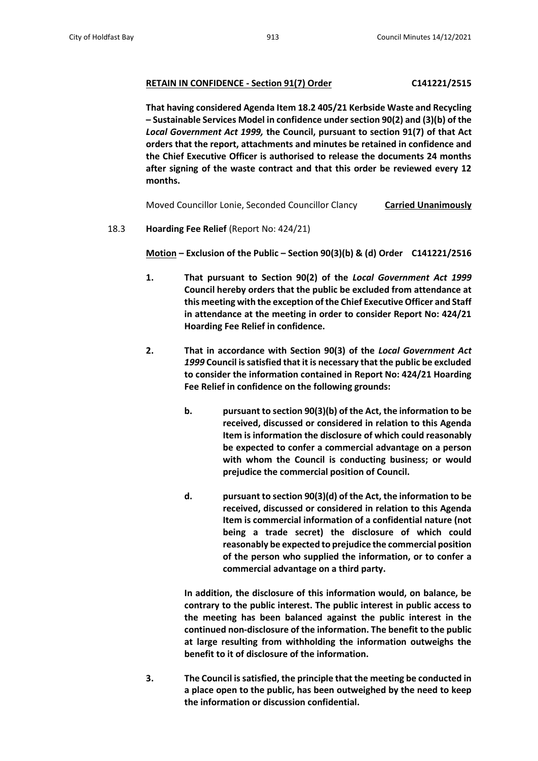# **RETAIN IN CONFIDENCE - Section 91(7) Order C141221/2515**

**That having considered Agenda Item 18.2 405/21 Kerbside Waste and Recycling – Sustainable Services Model in confidence under section 90(2) and (3)(b) of the**  *Local Government Act 1999,* **the Council, pursuant to section 91(7) of that Act orders that the report, attachments and minutes be retained in confidence and the Chief Executive Officer is authorised to release the documents 24 months after signing of the waste contract and that this order be reviewed every 12 months.**

Moved Councillor Lonie, Seconded Councillor Clancy **Carried Unanimously**

18.3 **Hoarding Fee Relief** (Report No: 424/21)

**Motion – Exclusion of the Public – Section 90(3)(b) & (d) Order C141221/2516**

- **1. That pursuant to Section 90(2) of the** *Local Government Act 1999* **Council hereby orders that the public be excluded from attendance at this meeting with the exception of the Chief Executive Officer and Staff in attendance at the meeting in order to consider Report No: 424/21 Hoarding Fee Relief in confidence.**
- **2. That in accordance with Section 90(3) of the** *Local Government Act 1999* **Council is satisfied that it is necessary that the public be excluded to consider the information contained in Report No: 424/21 Hoarding Fee Relief in confidence on the following grounds:**
	- **b. pursuant to section 90(3)(b) of the Act, the information to be received, discussed or considered in relation to this Agenda Item is information the disclosure of which could reasonably be expected to confer a commercial advantage on a person with whom the Council is conducting business; or would prejudice the commercial position of Council.**
	- **d. pursuant to section 90(3)(d) of the Act, the information to be received, discussed or considered in relation to this Agenda Item is commercial information of a confidential nature (not being a trade secret) the disclosure of which could reasonably be expected to prejudice the commercial position of the person who supplied the information, or to confer a commercial advantage on a third party.**

**In addition, the disclosure of this information would, on balance, be contrary to the public interest. The public interest in public access to the meeting has been balanced against the public interest in the continued non-disclosure of the information. The benefit to the public at large resulting from withholding the information outweighs the benefit to it of disclosure of the information.** 

**3. The Council is satisfied, the principle that the meeting be conducted in a place open to the public, has been outweighed by the need to keep the information or discussion confidential.**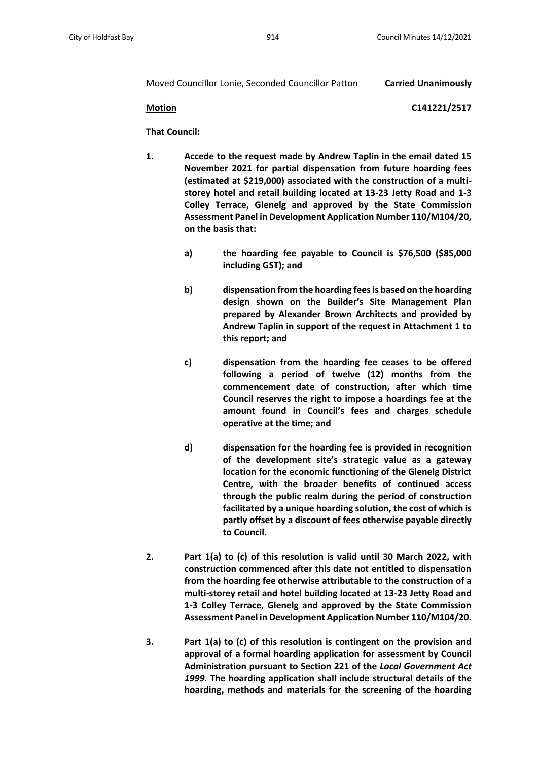### Moved Councillor Lonie, Seconded Councillor Patton **Carried Unanimously**

**Motion C141221/2517**

**That Council:**

- **1. Accede to the request made by Andrew Taplin in the email dated 15 November 2021 for partial dispensation from future hoarding fees (estimated at \$219,000) associated with the construction of a multistorey hotel and retail building located at 13-23 Jetty Road and 1-3 Colley Terrace, Glenelg and approved by the State Commission Assessment Panel in Development Application Number 110/M104/20, on the basis that:**
	- **a) the hoarding fee payable to Council is \$76,500 (\$85,000 including GST); and**
	- **b) dispensation from the hoarding fees is based on the hoarding design shown on the Builder's Site Management Plan prepared by Alexander Brown Architects and provided by Andrew Taplin in support of the request in Attachment 1 to this report; and**
	- **c) dispensation from the hoarding fee ceases to be offered following a period of twelve (12) months from the commencement date of construction, after which time Council reserves the right to impose a hoardings fee at the amount found in Council's fees and charges schedule operative at the time; and**
	- **d) dispensation for the hoarding fee is provided in recognition of the development site's strategic value as a gateway location for the economic functioning of the Glenelg District Centre, with the broader benefits of continued access through the public realm during the period of construction facilitated by a unique hoarding solution, the cost of which is partly offset by a discount of fees otherwise payable directly to Council.**
- **2. Part 1(a) to (c) of this resolution is valid until 30 March 2022, with construction commenced after this date not entitled to dispensation from the hoarding fee otherwise attributable to the construction of a multi-storey retail and hotel building located at 13-23 Jetty Road and 1-3 Colley Terrace, Glenelg and approved by the State Commission Assessment Panel in Development Application Number 110/M104/20.**
- **3. Part 1(a) to (c) of this resolution is contingent on the provision and approval of a formal hoarding application for assessment by Council Administration pursuant to Section 221 of the** *Local Government Act 1999.* **The hoarding application shall include structural details of the hoarding, methods and materials for the screening of the hoarding**